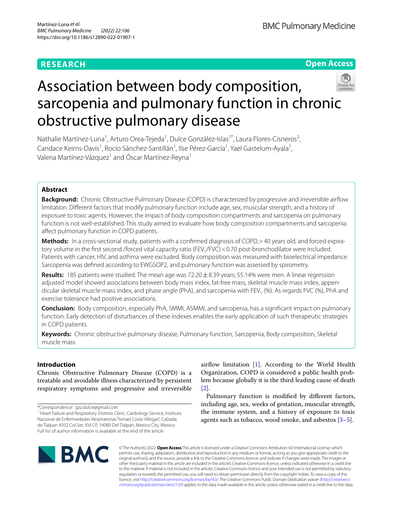## **RESEARCH**





# Association between body composition, sarcopenia and pulmonary function in chronic obstructive pulmonary disease

Nathalie Martínez-Luna<sup>1</sup>, Arturo Orea-Tejeda<sup>1</sup>, Dulce González-Islas<sup>1\*</sup>, Laura Flores-Cisneros<sup>2</sup>, Candace Keirns-Davis<sup>1</sup>, Rocío Sánchez-Santillán<sup>1</sup>, Ilse Pérez-García<sup>1</sup>, Yael Gastelum-Ayala<sup>1</sup>, Valeria Martínez-Vázquez<sup>1</sup> and Óscar Martínez-Reyna<sup>1</sup>

## **Abstract**

**Background:** Chronic Obstructive Pulmonary Disease (COPD) is characterized by progressive and irreversible airflow limitation. Diferent factors that modify pulmonary function include age, sex, muscular strength, and a history of exposure to toxic agents. However, the impact of body composition compartments and sarcopenia on pulmonary function is not well-established. This study aimed to evaluate how body composition compartments and sarcopenia afect pulmonary function in COPD patients.

Methods: In a cross-sectional study, patients with a confirmed diagnosis of COPD, > 40 years old, and forced expiratory volume in the first second /forced vital capacity ratio (FEV<sub>1</sub>/FVC) < 0.70 post-bronchodilator were included. Patients with cancer, HIV, and asthma were excluded. Body composition was measured with bioelectrical impedance. Sarcopenia was defned according to EWGSOP2, and pulmonary function was assessed by spirometry.

**Results:** 185 patients were studied. The mean age was 72.20  $\pm$  8.39 years; 55.14% were men. A linear regression adjusted model showed associations between body mass index, fat-free mass, skeletal muscle mass index, appendicular skeletal muscle mass index, and phase angle (PhA), and sarcopenia with FEV<sub>1</sub> (%). As regards FVC (%), PhA and exercise tolerance had positive associations.

**Conclusion:** Body composition, especially PhA, SMMI, ASMMI, and sarcopenia, has a signifcant impact on pulmonary function. Early detection of disturbances of these indexes enables the early application of such therapeutic strategies in COPD patients.

**Keywords:** Chronic obstructive pulmonary disease, Pulmonary function, Sarcopenia, Body composition, Skeletal muscle mass

## **Introduction**

Chronic Obstructive Pulmonary Disease (COPD) is a treatable and avoidable illness characterized by persistent respiratory symptoms and progressive and irreversible

airflow limitation [\[1](#page-5-0)]. According to the World Health Organization, COPD is considered a public health problem because globally it is the third leading cause of death [[2\]](#page-5-1).

Pulmonary function is modifed by diferent factors, including age, sex, weeks of gestation, muscular strength, the immune system, and a history of exposure to toxic agents such as tobacco, wood smoke, and asbestos [[3–](#page-5-2)[5](#page-5-3)].



© The Author(s) 2022. **Open Access** This article is licensed under a Creative Commons Attribution 4.0 International License, which permits use, sharing, adaptation, distribution and reproduction in any medium or format, as long as you give appropriate credit to the original author(s) and the source, provide a link to the Creative Commons licence, and indicate if changes were made. The images or other third party material in this article are included in the article's Creative Commons licence, unless indicated otherwise in a credit line to the material. If material is not included in the article's Creative Commons licence and your intended use is not permitted by statutory regulation or exceeds the permitted use, you will need to obtain permission directly from the copyright holder. To view a copy of this licence, visit [http://creativecommons.org/licenses/by/4.0/.](http://creativecommons.org/licenses/by/4.0/) The Creative Commons Public Domain Dedication waiver ([http://creativeco](http://creativecommons.org/publicdomain/zero/1.0/) [mmons.org/publicdomain/zero/1.0/](http://creativecommons.org/publicdomain/zero/1.0/)) applies to the data made available in this article, unless otherwise stated in a credit line to the data.

<sup>\*</sup>Correspondence: gzz.dulce@gmail.com

<sup>&</sup>lt;sup>1</sup> Heart Failure and Respiratory Distress Clinic, Cardiology Service, Instituto Nacional de Enfermedades Respiratorias "Ismael Cosío Villegas", Calzada de Tlalpan 4502 Col Sec XVI CP, 14080 Del Tlalpan, Mexico City, Mexico Full list of author information is available at the end of the article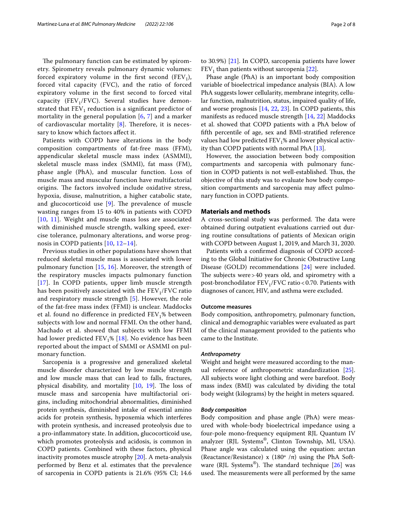The pulmonary function can be estimated by spirometry. Spirometry reveals pulmonary dynamic volumes: forced expiratory volume in the first second  $(FEV_1)$ , forced vital capacity (FVC), and the ratio of forced expiratory volume in the frst second to forced vital capacity (FEV<sub>1</sub>/FVC). Several studies have demonstrated that  $FEV<sub>1</sub>$  reduction is a significant predictor of mortality in the general population [[6,](#page-5-4) [7](#page-5-5)] and a marker of cardiovascular mortality  $[8]$  $[8]$ . Therefore, it is necessary to know which factors afect it.

Patients with COPD have alterations in the body composition compartments of fat-free mass (FFM), appendicular skeletal muscle mass index (ASMMI), skeletal muscle mass index (SMMI), fat mass (FM), phase angle (PhA), and muscular function. Loss of muscle mass and muscular function have multifactorial origins. The factors involved include oxidative stress, hypoxia, disuse, malnutrition, a higher catabolic state, and glucocorticoid use  $[9]$  $[9]$ . The prevalence of muscle wasting ranges from 15 to 40% in patients with COPD [[10](#page-6-2), [11\]](#page-6-3). Weight and muscle mass loss are associated with diminished muscle strength, walking speed, exercise tolerance, pulmonary alterations, and worse prognosis in COPD patients [\[10](#page-6-2), [12](#page-6-4)[–14](#page-6-5)].

Previous studies in other populations have shown that reduced skeletal muscle mass is associated with lower pulmonary function [[15](#page-6-6), [16](#page-6-7)]. Moreover, the strength of the respiratory muscles impacts pulmonary function [[17](#page-6-8)]. In COPD patients, upper limb muscle strength has been positively associated with the  $FEV<sub>1</sub>/FVC$  ratio and respiratory muscle strength [\[5](#page-5-3)]. However, the role of the fat-free mass index (FFMI) is unclear. Maddocks et al. found no difference in predicted  $FEV<sub>1</sub>%$  between subjects with low and normal FFMI. On the other hand, Machado et al. showed that subjects with low FFMI had lower predicted  $FEV_1\%$  [[18](#page-6-9)]. No evidence has been reported about the impact of SMMI or ASMMI on pulmonary function.

Sarcopenia is a progressive and generalized skeletal muscle disorder characterized by low muscle strength and low muscle mass that can lead to falls, fractures, physical disability, and mortality  $[10, 19]$  $[10, 19]$  $[10, 19]$  $[10, 19]$  $[10, 19]$ . The loss of muscle mass and sarcopenia have multifactorial origins, including mitochondrial abnormalities, diminished protein synthesis, diminished intake of essential amino acids for protein synthesis, hypoxemia which interferes with protein synthesis, and increased proteolysis due to a pro-infammatory state. In addition, glucocorticoid use, which promotes proteolysis and acidosis, is common in COPD patients. Combined with these factors, physical inactivity promotes muscle atrophy [\[20](#page-6-11)]. A meta-analysis performed by Benz et al. estimates that the prevalence of sarcopenia in COPD patients is 21.6% (95% CI; 14.6 to 30.9%) [\[21](#page-6-12)]. In COPD, sarcopenia patients have lower  $FEV<sub>1</sub>$  than patients without sarcopenia [\[22](#page-6-13)].

Phase angle (PhA) is an important body composition variable of bioelectrical impedance analysis (BIA). A low PhA suggests lower cellularity, membrane integrity, cellular function, malnutrition, status, impaired quality of life, and worse prognosis [[14,](#page-6-5) [22,](#page-6-13) [23\]](#page-6-14). In COPD patients, this manifests as reduced muscle strength [\[14](#page-6-5), [22\]](#page-6-13) Maddocks et al. showed that COPD patients with a PhA below of ffth percentile of age, sex and BMI-stratifed reference values had low predicted  $FEV<sub>1</sub>%$  and lower physical activity than COPD patients with normal PhA [[13](#page-6-15)].

However, the association between body composition compartments and sarcopenia with pulmonary function in COPD patients is not well-established. Thus, the objective of this study was to evaluate how body composition compartments and sarcopenia may afect pulmonary function in COPD patients.

## **Materials and methods**

A cross-sectional study was performed. The data were obtained during outpatient evaluations carried out during routine consultations of patients of Mexican origin with COPD between August 1, 2019, and March 31, 2020.

Patients with a confrmed diagnosis of COPD according to the Global Initiative for Chronic Obstructive Lung Disease (GOLD) recommendations [\[24\]](#page-6-16) were included. The subjects were  $>40$  years old, and spirometry with a post-bronchodilator  $FEV<sub>1</sub>/FVC$  ratio < 0.70. Patients with diagnoses of cancer, HIV, and asthma were excluded.

### **Outcome measures**

Body composition, anthropometry, pulmonary function, clinical and demographic variables were evaluated as part of the clinical management provided to the patients who came to the Institute.

#### <span id="page-1-0"></span>*Anthropometry*

Weight and height were measured according to the manual reference of anthropometric standardization [\[25](#page-6-17)]. All subjects wore light clothing and were barefoot. Body mass index (BMI) was calculated by dividing the total body weight (kilograms) by the height in meters squared.

## *Body composition*

Body composition and phase angle (PhA) were measured with whole-body bioelectrical impedance using a four-pole mono-frequency equipment RJL Quantum IV analyzer (RJL Systems®, Clinton Township, MI, USA). Phase angle was calculated using the equation: arctan (Reactance/Resistance) x (180 $\textdegree$ /π) using the PhA Software (RJL Systems<sup>®</sup>). The standard technique  $[26]$  $[26]$  was used. The measurements were all performed by the same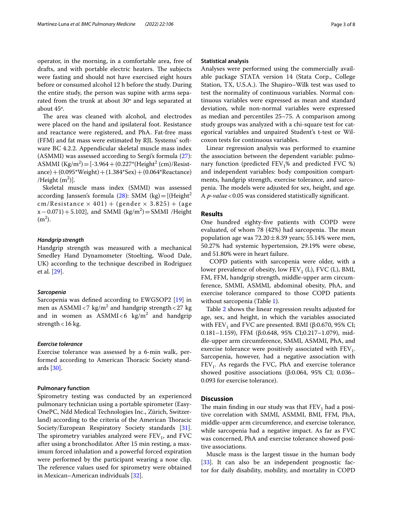operator, in the morning, in a comfortable area, free of drafts, and with portable electric heaters. The subjects were fasting and should not have exercised eight hours before or consumed alcohol 12 h before the study. During the entire study, the person was supine with arms separated from the trunk at about 30º and legs separated at about 45º.

The area was cleaned with alcohol, and electrodes were placed on the hand and ipsilateral foot. Resistance and reactance were registered, and PhA. Fat-free mass (FFM) and fat mass were estimated by RJL Systems' software BC 4.2.2. Appendicular skeletal muscle mass index (ASMMI) was assessed according to Sergi's formula [\(27](#page-6-19)): ASMMI  $(Kg/m^2) = [-3.964 + (0.227*(Height^2 (cm)/Resist$ ance)+(0.095\*Weight)+(1.384\*Sex)+(0.064\*Reactance) /Height  $(m^2)$ ].

Skeletal muscle mass index (SMMI) was assessed according Janssen's formula  $(28)$  $(28)$ : SMM  $(kg) = [(Height<sup>2</sup>$ cm/Resistance  $\times$  401) + (gender  $\times$  3.825) + (age  $(x - 0.071) + 5.102$ , and SMMI (kg/m<sup>2</sup>) = SMMI /Height  $(m<sup>2</sup>)$ .

## *Handgrip strength*

Handgrip strength was measured with a mechanical Smedley Hand Dynamometer (Stoelting, Wood Dale, UK) according to the technique described in Rodriguez et al. [[29](#page-6-21)].

#### *Sarcopenia*

Sarcopenia was defned according to EWGSOP2 [[19\]](#page-6-10) in men as  $\text{ASMMI} \triangleleft 7 \text{ kg/m}^2$  and handgrip strength  $<$  27 kg and in women as  $\text{ASMMI}\xspace < \! 6$  kg/m $^2$  and handgrip strength<16 kg.

## *Exercise tolerance*

Exercise tolerance was assessed by a 6-min walk, performed according to American Thoracic Society standards [\[30](#page-6-22)].

#### **Pulmonary function**

Spirometry testing was conducted by an experienced pulmonary technician using a portable spirometer (Easy-OnePC, Ndd Medical Technologies Inc., Zürich, Switzerland) according to the criteria of the American Thoracic Society/European Respiratory Society standards [\[31](#page-6-23)]. The spirometry variables analyzed were  $FEV<sub>1</sub>$ , and  $FVC$ after using a bronchodilator. After 15 min resting, a maximum forced inhalation and a powerful forced expiration were performed by the participant wearing a nose clip. The reference values used for spirometry were obtained in Mexican–American individuals [\[32](#page-6-24)].

#### **Statistical analysis**

Analyses were performed using the commercially available package STATA version 14 (Stata Corp., College Station, TX, U.S.A.). The Shapiro–Wilk test was used to test the normality of continuous variables. Normal continuous variables were expressed as mean and standard deviation, while non-normal variables were expressed as median and percentiles 25–75. A comparison among study groups was analyzed with a chi-square test for categorical variables and unpaired Student's t-test or Wilcoxon tests for continuous variables.

Linear regression analysis was performed to examine the association between the dependent variable: pulmonary function (predicted  $FEV<sub>1</sub>%$  and predicted  $FVC$  %) and independent variables: body composition compartments, handgrip strength, exercise tolerance, and sarcopenia. The models were adjusted for sex, height, and age. A *p-value*<0.05 was considered statistically signifcant.

## **Results**

One hundred eighty-fve patients with COPD were evaluated, of whom 78 (42%) had sarcopenia. The mean population age was  $72.20 \pm 8.39$  years; 55.14% were men, 50.27% had systemic hypertension, 29.19% were obese, and 51.80% were in heart failure.

 COPD patients with sarcopenia were older, with a lower prevalence of obesity, low  $FEV<sub>1</sub>$  (L), FVC (L), BMI, FM, FFM, handgrip strength, middle-upper arm circumference, SMMI, ASMMI, abdominal obesity, PhA, and exercise tolerance compared to those COPD patients without sarcopenia (Table [1](#page-3-0)).

Table [2](#page-4-0) shows the linear regression results adjusted for age, sex, and height, in which the variables associated with  $FEV<sub>1</sub>$  and FVC are presented. BMI (β:0.670, 95% CI; 0.181–1.159), FFM (β:0.648, 95% CI;0.217–1.079), middle-upper arm circumference, SMMI, ASMMI, PhA, and exercise tolerance were positively associated with  $FEV_1$ . Sarcopenia, however, had a negative association with  $FEV<sub>1</sub>$ . As regards the FVC, PhA and exercise tolerance showed positive associations (β:0.064, 95% CI; 0.036– 0.093 for exercise tolerance).

## **Discussion**

The main finding in our study was that  $FEV<sub>1</sub>$  had a positive correlation with SMMI, ASMMI, BMI, FFM, PhA, middle-upper arm circumference, and exercise tolerance, while sarcopenia had a negative impact. As far as FVC was concerned, PhA and exercise tolerance showed positive associations.

Muscle mass is the largest tissue in the human body [[33\]](#page-6-25). It can also be an independent prognostic factor for daily disability, mobility, and mortality in COPD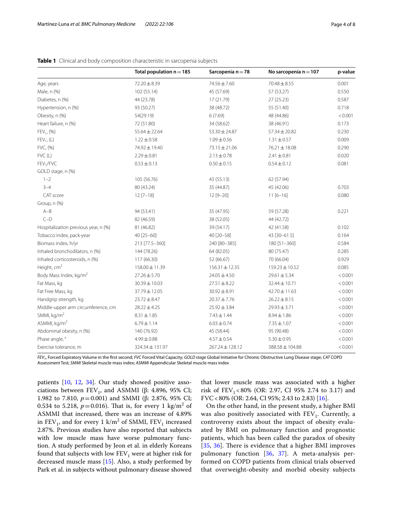|                                      | Total population $n = 185$ | Sarcopenia n = 78   | No sarcopenia $n = 107$ | p-value |
|--------------------------------------|----------------------------|---------------------|-------------------------|---------|
| Age, years                           | 72.20 ± 8.39               | 74.56 ± 7.60        | $70.48 \pm 8.55$        | 0.001   |
| Male, n (%)                          | 102 (55.14)                | 45 (57.69)          | 57 (53.27)              | 0.550   |
| Diabetes, n (%)                      | 44 (23.78)                 | 17 (21.79)          | 27 (25.23)              | 0.587   |
| Hypertension, n (%)                  | 93 (50.27)                 | 38 (48.72)          | 55 (51.40)              | 0.718   |
| Obesity, n (%)                       | 54(29.19)                  | 6(7.69)             | 48 (44.86)              | < 0.001 |
| Heart failure, n (%)                 | 72 (51.80)                 | 34 (58.62)          | 38 (46.91)              | 0.173   |
| $FEV_1$ , $(%)$                      | $55.64 \pm 22.64$          | $53.30 \pm 24.87$   | $57.34 \pm 20.82$       | 0.230   |
| $FEV_1$ , (L)                        | $1.22 \pm 0.58$            | $1.09 \pm 0.56$     | $1.31 \pm 0.57$         | 0.009   |
| FVC, (%)                             | 74.92 ± 19.40              | 73.15 ± 21.06       | 76.21 ± 18.08           | 0.290   |
| FVC(L)                               | $2.29 \pm 0.81$            | $2.13 \pm 0.78$     | $2.41 \pm 0.81$         | 0.020   |
| FEV <sub>1</sub> /FVC                | $0.53 \pm 0.13$            | $0.50 \pm 0.15$     | $0.54 \pm 0.12$         | 0.081   |
| GOLD stage, n (%)                    |                            |                     |                         |         |
| $1 - 2$                              | 105 (56.76)                | 43 (55.13)          | 62 (57.94)              |         |
| $3 - 4$                              | 80 (43.24)                 | 35 (44.87)          | 45 (42.06)              | 0.703   |
| CAT score                            | $12 [7 - 18]$              | $12 [9 - 20]$       | $11[6-16]$              | 0.080   |
| Group, n (%)                         |                            |                     |                         |         |
| $A - B$                              | 94 (53.41)                 | 35 (47.95)          | 59 (57.28)              | 0.221   |
| $C-D$                                | 82 (46.59)                 | 38 (52.05)          | 44 (42.72)              |         |
| Hospitalization previous year, n (%) | 81 (46.82)                 | 39 (54.17)          | 42 (41.58)              | 0.102   |
| Tobacco index, pack-year             | 40 [25-60]                 | 40 [20-58]          | 43 [30-61.5]            | 0.164   |
| Biomass index, h/yr                  | 213 [77.5-360]             | 240 [80-385]        | 180 [51-360]            | 0.584   |
| Inhaled bronchodilators, n (%)       | 144 (78.26)                | 64 (82.05)          | 80 (75.47)              | 0.285   |
| Inhaled corticosteroids, n (%)       | 117 (66.30)                | 52 (66.67)          | 70 (66.04)              | 0.929   |
| Height, cm <sup>2</sup>              | 158.00 ± 11.39             | $156.31 \pm 12.35$  | 159.23 ± 10.52          | 0.085   |
| Body Mass Index, kg/m <sup>2</sup>   | $27.26 \pm 5.70$           | $24.05 \pm 4.50$    | $29.61 \pm 5.34$        | < 0.001 |
| Fat Mass, kg                         | 30.39 ± 10.03              | $27.51 \pm 8.22$    | 32.44 ± 10.71           | < 0.001 |
| Fat Free Mass, kg                    | 37.79 ± 12.05              | $30.92 \pm 8.91$    | 42.70 ± 11.63           | < 0.001 |
| Handgrip strength, kg                | $23.72 \pm 8.47$           | $20.37 \pm 7.76$    | $26.22 \pm 8.15$        | < 0.001 |
| Middle-upper arm circumference, cm   | $28.22 \pm 4.25$           | $25.92 \pm 3.84$    | $29.93 \pm 3.71$        | < 0.001 |
| SMMI, kg/m <sup>2</sup>              | $8.31 \pm 1.85$            | $7.43 \pm 1.44$     | $8.94 \pm 1.86$         | < 0.001 |
| ASMMI, kg/m <sup>2</sup>             | $6.79 \pm 1.14$            | $6.03 \pm 0.74$     | $7.35 \pm 1.07$         | < 0.001 |
| Abdominal obesity, n (%)             | 140 (76.92)                | 45 (58.44)          | 95 (90.48)              | < 0.001 |
| Phase angle, °                       | $4.99 \pm 0.88$            | $4.57 \pm 0.54$     | $5.30 \pm 0.95$         | < 0.001 |
| Exercise tolerance, m                | 324.34 ± 131.97            | $267.24 \pm 128.12$ | 388.58 ± 104.88         | < 0.001 |

<span id="page-3-0"></span>

|  |  |  |  |  | <b>Table 1</b> Clinical and body composition characteristic in sarcopenia subjects |
|--|--|--|--|--|------------------------------------------------------------------------------------|
|--|--|--|--|--|------------------------------------------------------------------------------------|

*FEV1*, Forced Expiratory Volume in the frst second; *FVC* Forced Vital Capacity; *GOLD stage* Global Initiative for Chronic Obstructive Lung Disease stage; *CAT* COPD Assessment Test; *SMMI* Skeletal muscle mass index; *ASMMI* Appendicular Skeletal muscle mass index

patients [[10,](#page-6-2) [12](#page-6-4), [34\]](#page-6-26). Our study showed positive associations between  $FEV_1$ , and ASMMI (β: 4.896, 95% CI; 1.982 to 7.810, *p* = 0.001) and SMMI (β: 2.876, 95% CI; 0.534 to 5.218,  $p=0.016$ ). That is, for every 1  $\text{kg/m}^2$  of ASMMI that increased, there was an increase of 4.89% in  $\text{FEV}_1$ , and for every 1 k/m<sup>2</sup> of SMMI,  $\text{FEV}_1$  increased 2.87%. Previous studies have also reported that subjects with low muscle mass have worse pulmonary function. A study performed by Jeon et al. in elderly Koreans found that subjects with low  $FEV<sub>1</sub>$  were at higher risk for decreased muscle mass [\[15](#page-6-6)]. Also, a study performed by Park et al. in subjects without pulmonary disease showed

that lower muscle mass was associated with a higher risk of  $FEV_1$ <80% (OR: 2.97, CI 95% 2.74 to 3.17) and FVC<80% (OR: 2.64, CI 95%; 2.43 to 2.83) [\[16\]](#page-6-7).

On the other hand, in the present study, a higher BMI was also positively associated with  $FEV<sub>1</sub>$ . Currently, a controversy exists about the impact of obesity evaluated by BMI on pulmonary function and prognostic patients, which has been called the paradox of obesity [[35](#page-6-27), [36\]](#page-6-28). There is evidence that a higher BMI improves pulmonary function [[36](#page-6-28), [37\]](#page-6-29). A meta-analysis performed on COPD patients from clinical trials observed that overweight-obesity and morbid obesity subjects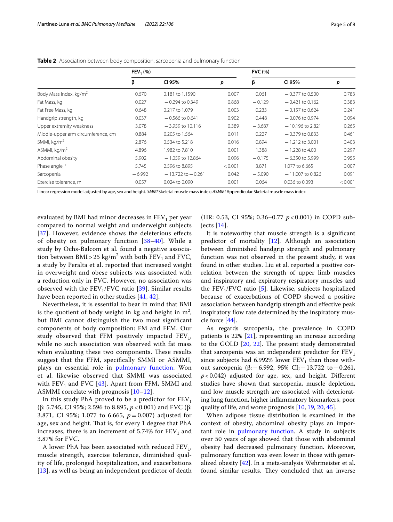|                                    | $FEV_1(%)$ |                       |         | <b>FVC (%)</b> |                    |         |
|------------------------------------|------------|-----------------------|---------|----------------|--------------------|---------|
|                                    | β          | CI 95%                | p       | β              | CI 95%             | р       |
| Body Mass Index, kg/m <sup>2</sup> | 0.670      | 0.181 to 1.1590       | 0.007   | 0.061          | $-0.377$ to 0.500  | 0.783   |
| Fat Mass, kg                       | 0.027      | $-0.294$ to 0.349     | 0.868   | $-0.129$       | $-0.421$ to 0.162  | 0.383   |
| Fat Free Mass, kg                  | 0.648      | 0.217 to 1.079        | 0.003   | 0.233          | $-0.157$ to 0.624  | 0.241   |
| Handgrip strength, kg              | 0.037      | $-0.566$ to 0.641     | 0.902   | 0.448          | $-0.076$ to 0.974  | 0.094   |
| Upper extremity weakness           | 3.078      | $-3.959$ to 10.116    | 0.389   | $-3.687$       | $-10.196$ to 2.821 | 0.265   |
| Middle-upper arm circumference, cm | 0.884      | 0.205 to 1.564        | 0.011   | 0.227          | $-0.379$ to 0.833  | 0.461   |
| SMMI, $kg/m2$                      | 2.876      | 0.534 to 5.218        | 0.016   | 0.894          | $-1.212$ to 3.001  | 0.403   |
| ASMMI, $kg/m2$                     | 4.896      | 1.982 to 7.810        | 0.001   | 1.388          | $-1.228$ to 4.00   | 0.297   |
| Abdominal obesity                  | 5.902      | $-1.059$ to 12.864    | 0.096   | $-0.175$       | $-6.350$ to 5.999  | 0.955   |
| Phase angle, °                     | 5.745      | 2.596 to 8.895        | < 0.001 | 3.871          | 1.077 to 6.665     | 0.007   |
| Sarcopenia                         | $-6.992$   | $-13.722$ to $-0.261$ | 0.042   | $-5.090$       | $-11,007$ to 0.826 | 0.091   |
| Exercise tolerance, m              | 0.057      | 0.024 to 0.090        | 0.001   | 0.064          | 0.036 to 0.093     | < 0.001 |

<span id="page-4-0"></span>**Table 2** Association between body composition, sarcopenia and pulmonary function

Linear regression model adjusted by age, sex and height. *SMMI* Skeletal muscle mass index; *ASMMI* Appendicular Skeletal muscle mass index

evaluated by BMI had minor decreases in  $FEV<sub>1</sub>$  per year compared to normal weight and underweight subjects [[37](#page-6-29)]. However, evidence shows the deleterious effects of obesity on pulmonary function [[38–](#page-6-30)[40](#page-6-31)]. While a study by Ochs-Balcom et al. found a negative association between BMI > 25 kg/m<sup>2</sup> with both  $\text{FEV}_1$  and FVC, a study by Peralta et al. reported that increased weight in overweight and obese subjects was associated with a reduction only in FVC. However, no association was observed with the  $FEV_1/FVC$  ratio [\[39\]](#page-6-32). Similar results have been reported in other studies [[41,](#page-6-33) [42\]](#page-6-34).

Nevertheless, it is essential to bear in mind that BMI is the quotient of body weight in kg and height in  $m^2$ , but BMI cannot distinguish the two most signifcant components of body composition: FM and FFM. Our study observed that FFM positively impacted  $FEV_1$ , while no such association was observed with fat mass when evaluating these two components. These results suggest that the FFM, specifcally SMMI or ASMMI, plays an essential role in [pulmonary function.](#page-1-0) Won et al. likewise observed that SMMI was associated with  $FEV_1$  and FVC [[43\]](#page-6-35). Apart from FFM, SMMI and ASMMI correlate with prognosis [\[10–](#page-6-2)[12\]](#page-6-4).

In this study PhA proved to be a predictor for  $FEV<sub>1</sub>$ (β: 5.745, CI 95%; 2.596 to 8.895, *p* < 0.001) and FVC (β: 3.871, CI 95%; 1.077 to 6.665, *p*=0.007) adjusted for age, sex and height. That is, for every 1 degree that PhA increases, there is an increment of 5.74% for  $FEV<sub>1</sub>$  and 3.87% for FVC.

A lower PhA has been associated with reduced  $FEV_1$ , muscle strength, exercise tolerance, diminished quality of life, prolonged hospitalization, and exacerbations [[13](#page-6-15)], as well as being an independent predictor of death

(HR: 0.53, CI 95%; 0.36–0.77 *p* < 0.001) in COPD subjects [[14](#page-6-5)].

It is noteworthy that muscle strength is a signifcant predictor of mortality [[12](#page-6-4)]. Although an association between diminished handgrip strength and pulmonary function was not observed in the present study, it was found in other studies. Liu et al. reported a positive correlation between the strength of upper limb muscles and inspiratory and expiratory respiratory muscles and the  $FEV<sub>1</sub>/FVC$  ratio [[5\]](#page-5-3). Likewise, subjects hospitalized because of exacerbations of COPD showed a positive association between handgrip strength and efective peak inspiratory flow rate determined by the inspiratory muscle force [\[44](#page-6-36)].

As regards sarcopenia, the prevalence in COPD patients is 22% [\[21](#page-6-12)], representing an increase according to the GOLD  $[20, 22]$  $[20, 22]$  $[20, 22]$ . The present study demonstrated that sarcopenia was an independent predictor for  $FEV<sub>1</sub>$ since subjects had 6.992% lower  $FEV<sub>1</sub>$  than those without sarcopenia (β:−6.992, 95% CI;−13.722 to−0.261,  $p$ <0.042) adjusted for age, sex, and height. Different studies have shown that sarcopenia, muscle depletion, and low muscle strength are associated with deteriorating lung function, higher infammatory biomarkers, poor quality of life, and worse prognosis [[10,](#page-6-2) [19](#page-6-10), [20](#page-6-11), [45\]](#page-6-37).

When adipose tissue distribution is examined in the context of obesity, abdominal obesity plays an important role in [pulmonary function.](#page-1-0) A study in subjects over 50 years of age showed that those with abdominal obesity had decreased pulmonary function. Moreover, pulmonary function was even lower in those with generalized obesity [[42\]](#page-6-34). In a meta-analysis Wehrmeister et al. found similar results. They concluded that an inverse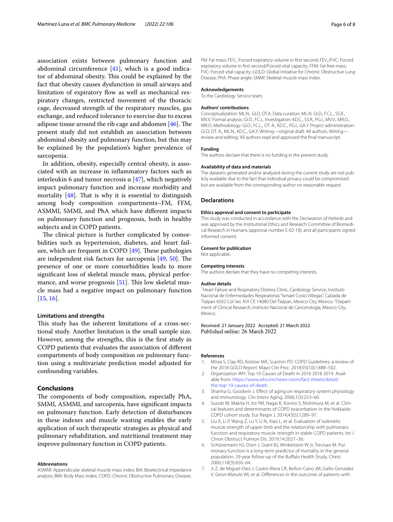association exists between pulmonary function and abdominal circumference [\[41\]](#page-6-33), which is a good indicator of abdominal obesity. This could be explained by the fact that obesity causes dysfunction in small airways and limitation of expiratory flow as well as mechanical respiratory changes, restricted movement of the thoracic cage, decreased strength of the respiratory muscles, gas exchange, and reduced tolerance to exercise due to excess adipose tissue around the rib cage and abdomen  $[46]$  $[46]$ . The present study did not establish an association between abdominal obesity and pulmonary function, but this may be explained by the population's higher prevalence of sarcopenia.

In addition, obesity, especially central obesity, is associated with an increase in infammatory factors such as interleukin 6 and tumor necrosis  $\alpha$  [[47](#page-6-39)], which negatively impact pulmonary function and increase morbidity and mortality  $[48]$  $[48]$ . That is why it is essential to distinguish among body composition compartments–FM, FFM, ASMMI, SMMI, and PhA which have diferent impacts on pulmonary function and prognosis, both in healthy subjects and in COPD patients.

The clinical picture is further complicated by comorbidities such as hypertension, diabetes, and heart failure, which are frequent in COPD  $[49]$  $[49]$ . These pathologies are independent risk factors for sarcopenia  $[49, 50]$  $[49, 50]$  $[49, 50]$  $[49, 50]$ . The presence of one or more comorbidities leads to more signifcant loss of skeletal muscle mass, physical performance, and worse prognosis  $[51]$ . This low skeletal muscle mass had a negative impact on pulmonary function [[15,](#page-6-6) [16](#page-6-7)].

## **Limitations and strengths**

This study has the inherent limitations of a cross-sectional study. Another limitation is the small sample size. However, among the strengths, this is the frst study in COPD patients that evaluates the association of diferent compartments of body composition on pulmonary function using a multivariate prediction model adjusted for confounding variables.

## **Conclusions**

The components of body composition, especially PhA, SMMI, ASMMI, and sarcopenia, have signifcant impacts on pulmonary function. Early detection of disturbances in these indexes and muscle wasting enables the early application of such therapeutic strategies as physical and pulmonary rehabilitation, and nutritional treatment may improve pulmonary function in COPD patients.

#### **Abbreviations**

ASMMI: Appendicular skeletal muscle mass index; BIA: Bioelectrical impedance analysis; BMI: Body Mass Index; COPD: Chronic Obstructive Pulmonary Disease; FM: Fat mass; FEV<sub>1</sub>: Forced expiratory volume in first second; FEV<sub>1</sub>/FVC: Forced expiratory volume in frst second/Forced vital capacity; FFM: Fat-free mass; FVC: Forced vital capacity; GOLD: Global Initiative for Chronic Obstructive Lung Disease; PhA: Phase angle; SMMI: Skeletal muscle mass index.

#### **Acknowledgements**

To the Cardiology Service team.

#### **Authors' contributions**

Conceptualization: ML.N., GI.D, OT.A. Data curation: ML.N. GI.D., FC.L., SS.R., MV.V. Formal analysis: GI.D., FC.L. Investigation: KD.C., SS.R., PG.I., MV.V., MR.O., MR.O. Methodology: GI.D., FC.L., OT. A., KD.C., PG.I., GA.Y. Project administration: GI.D, OT. A., ML.N., KD.C., GA.Y. Writing—original draft: All authors. Writing review and editing: All authors read and approved the fnal manuscript.

#### **Funding**

The authors declare that there is no funding in the present study.

#### **Availability of data and materials**

The datasets generated and/or analyzed during the current study are not publicly available due to the fact that individual privacy could be compromised but are available from the corresponding author on reasonable request.

#### **Declarations**

## **Ethics approval and consent to participate**

This study was conducted in accordance with the Declaration of Helsinki and was approved by the Institutional Ethics and Research Committee of Biomedical Research in Humans (approval number E-02-18), and all participants signed informed consent.

#### **Consent for publication**

Not applicable.

#### **Competing interests**

The authors declare that they have no competing interests.

#### **Author details**

<sup>1</sup> Heart Failure and Respiratory Distress Clinic, Cardiology Service, Instituto Nacional de Enfermedades Respiratorias "Ismael Cosío Villegas", Calzada de Tlalpan 4502 Col Sec XVI CP, 14080 Del Tlalpan, Mexico City, Mexico. <sup>2</sup> Department of Clinical Research, Instituto Nacional de Cancerología, Mexico City, Mexico.

#### Received: 21 January 2022 Accepted: 21 March 2022 Published online: 26 March 2022

#### **References**

- <span id="page-5-0"></span>1. Mirza S, Clay RD, Koslow MA, Scanlon PD. COPD Guidelines: a review of the 2018 GOLD Report. Mayo Clin Proc. 2018;93(10):1488–502.
- <span id="page-5-1"></span>2. Organization WH. Top 10 Causes of Death in 2016 2018 2019. Available from: [https://www.who.int/news-room/fact-sheets/detail/](https://www.who.int/news-room/fact-sheets/detail/the-top-10-causes-of-death) [the-top-10-causes-of-death](https://www.who.int/news-room/fact-sheets/detail/the-top-10-causes-of-death).
- <span id="page-5-2"></span>3. Sharma G, Goodwin J. Efect of aging on respiratory system physiology and immunology. Clin Interv Aging. 2006;1(3):253–60.
- 4. Suzuki M, Makita H, Ito YM, Nagai K, Konno S, Nishimura M, et al. Clinical features and determinants of COPD exacerbation in the Hokkaido COPD cohort study. Eur Respir J. 2014;43(5):1289–97.
- <span id="page-5-3"></span>5. Liu X, Li P, Wang Z, Lu Y, Li N, Xiao L, et al. Evaluation of isokinetic muscle strength of upper limb and the relationship with pulmonary function and respiratory muscle strength in stable COPD patients. Int J Chron Obstruct Pulmon Dis. 2019;14:2027–36.
- <span id="page-5-4"></span>6. Schünemann HJ, Dorn J, Grant BJ, Winkelstein W Jr, Trevisan M. Pulmonary function is a long-term predictor of mortality in the general population: 29-year follow-up of the Bufalo Health Study. Chest. 2000;118(3):656–64.
- <span id="page-5-5"></span>7. Ji Z, de Miguel-Diez J, Castro-Riera CR, Bellon-Cano JM, Gallo-Gonzalez V, Giron-Matute WI, et al. Diferences in the outcome of patients with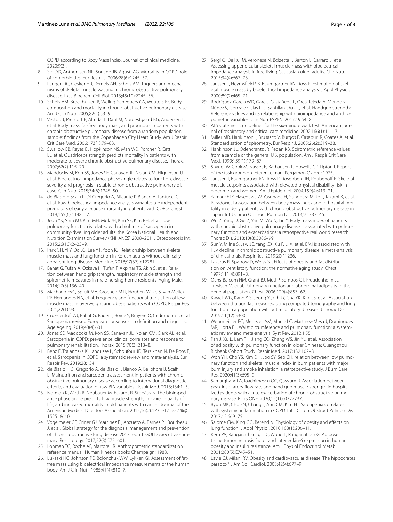COPD according to Body Mass Index. Journal of clinical medicine. 2020;9(3).

- <span id="page-6-0"></span>8. Sin DD, Anthonisen NR, Soriano JB, Agusti AG. Mortality in COPD: role of comorbidities. Eur Respir J. 2006;28(6):1245–57.
- <span id="page-6-1"></span>9. Langen RC, Gosker HR, Remels AH, Schols AM. Triggers and mechanisms of skeletal muscle wasting in chronic obstructive pulmonary disease. Int J Biochem Cell Biol. 2013;45(10):2245–56.
- <span id="page-6-2"></span>10. Schols AM, Broekhuizen R, Weling-Scheepers CA, Wouters EF. Body composition and mortality in chronic obstructive pulmonary disease. Am J Clin Nutr. 2005;82(1):53–9.
- <span id="page-6-3"></span>11. Vestbo J, Prescott E, Almdal T, Dahl M, Nordestgaard BG, Andersen T, et al. Body mass, fat-free body mass, and prognosis in patients with chronic obstructive pulmonary disease from a random population sample: fndings from the Copenhagen City Heart Study. Am J Respir Crit Care Med. 2006;173(1):79–83.
- <span id="page-6-4"></span>12. Swallow EB, Reyes D, Hopkinson NS, Man WD, Porcher R, Cetti EJ, et al. Quadriceps strength predicts mortality in patients with moderate to severe chronic obstructive pulmonary disease. Thorax. 2007;62(2):115–20.
- <span id="page-6-15"></span>13. Maddocks M, Kon SS, Jones SE, Canavan JL, Nolan CM, Higginson IJ, et al. Bioelectrical impedance phase angle relates to function, disease severity and prognosis in stable chronic obstructive pulmonary disease. Clin Nutr. 2015;34(6):1245–50.
- <span id="page-6-5"></span>14. de Blasio F, Scalf L, Di Gregorio A, Alicante P, Bianco A, Tantucci C, et al. Raw bioelectrical impedance analysis variables are independent predictors of early all-cause mortality in patients with COPD. Chest. 2019;155(6):1148–57.
- <span id="page-6-6"></span>15. Jeon YK, Shin MJ, Kim MH, Mok JH, Kim SS, Kim BH, et al. Low pulmonary function is related with a high risk of sarcopenia in community-dwelling older adults: the Korea National Health and Nutrition Examination Survey (KNHANES) 2008–2011. Osteoporosis Int. 2015;26(10):2423–9.
- <span id="page-6-7"></span>16. Park CH, Yi Y, Do JG, Lee YT, Yoon KJ. Relationship between skeletal muscle mass and lung function in Korean adults without clinically apparent lung disease. Medicine. 2018;97(37):e12281.
- <span id="page-6-8"></span>17. Bahat G, Tufan A, Ozkaya H, Tufan F, Akpinar TS, Akin S, et al. Relation between hand grip strength, respiratory muscle strength and spirometric measures in male nursing home residents. Aging Male. 2014;17(3):136–40.
- <span id="page-6-9"></span>18. Machado FVC, Spruit MA, Groenen MTJ, Houben-Wilke S, van Melick PP, Hernandes NA, et al. Frequency and functional translation of low muscle mass in overweight and obese patients with COPD. Respir Res. 2021;22(1):93.
- <span id="page-6-10"></span>19. Cruz-Jentoft AJ, Bahat G, Bauer J, Boirie Y, Bruyere O, Cederholm T, et al. Sarcopenia: revised European consensus on defnition and diagnosis. Age Ageing. 2019;48(4):601.
- <span id="page-6-11"></span>20. Jones SE, Maddocks M, Kon SS, Canavan JL, Nolan CM, Clark AL, et al. Sarcopenia in COPD: prevalence, clinical correlates and response to pulmonary rehabilitation. Thorax. 2015;70(3):213–8.
- <span id="page-6-12"></span>21. Benz E, Trajanoska K, Lahousse L, Schoufour JD, Terzikhan N, De Roos E, et al. Sarcopenia in COPD: a systematic review and meta-analysis. Eur Respir Rev. 2019;28:154.
- <span id="page-6-13"></span>22. de Blasio F, Di Gregorio A, de Blasio F, Bianco A, Bellofore B, Scalf L. Malnutrition and sarcopenia assessment in patients with chronic obstructive pulmonary disease according to international diagnostic criteria, and evaluation of raw BIA variables. Respir Med. 2018;134:1–5.
- <span id="page-6-14"></span>23. Norman K, Wirth R, Neubauer M, Eckardt R, Stobäus N. The bioimpedance phase angle predicts low muscle strength, impaired quality of life, and increased mortality in old patients with cancer. Journal of the American Medical Directors Association. 2015;16(2):173. e17–e22 %@ 1525–8610.
- <span id="page-6-16"></span>24. Vogelmeier CF, Criner GJ, Martinez FJ, Anzueto A, Barnes PJ, Bourbeau J, et al. Global strategy for the diagnosis, management and prevention of chronic obstructive lung disease 2017 report: GOLD executive summary. Respirology. 2017;22(3):575–601.
- <span id="page-6-17"></span>25. Lohman TG, Roche AF, Martorell R. Anthropometric standardization reference manual: Human kinetics books Champaign; 1988.
- <span id="page-6-18"></span>26. Lukaski HC, Johnson PE, Bolonchuk WW, Lykken GI. Assessment of fatfree mass using bioelectrical impedance measurements of the human body. Am J Clin Nutr. 1985;41(4):810–7.
- <span id="page-6-19"></span>27. Sergi G, De Rui M, Veronese N, Bolzetta F, Berton L, Carraro S, et al. Assessing appendicular skeletal muscle mass with bioelectrical impedance analysis in free-living Caucasian older adults. Clin Nutr. 2015;34(4):667–73.
- <span id="page-6-20"></span>28. Janssen I, Heymsfield SB, Baumgartner RN, Ross R. Estimation of skeletal muscle mass by bioelectrical impedance analysis. J Appl Physiol. 2000;89(2):465–71.
- <span id="page-6-21"></span>29. Rodríguez-García WD, García-Castañeda L, Orea-Tejeda A, Mendoza-Núñez V, González-Islas DG, Santillán-Díaz C, et al. Handgrip strength: Reference values and its relationship with bioimpedance and anthropometric variables. Clin Nutr ESPEN. 2017;19:54–8.
- <span id="page-6-22"></span>30. ATS statement: quidelines for the six-minute walk test. American journal of respiratory and critical care medicine. 2002;166(1):111–7.
- <span id="page-6-23"></span>31. Miller MR, Hankinson J, Brusasco V, Burgos F, Casaburi R, Coates A, et al. Standardisation of spirometry. Eur Respir J. 2005;26(2):319–38.
- <span id="page-6-24"></span>32. Hankinson JL, Odencrantz JR, Fedan KB. Spirometric reference values from a sample of the general U.S. population. Am J Respir Crit Care Med. 1999;159(1):179–87.
- <span id="page-6-25"></span>33. Snyder W, Cook M, Nasset E, Karhausen L, Howells GP, Tipton I. Report of the task group on reference man: Pergamon Oxford; 1975.
- <span id="page-6-26"></span>34. Janssen I, Baumgartner RN, Ross R, Rosenberg IH, Roubenoff R. Skeletal muscle cutpoints associated with elevated physical disability risk in older men and women. Am J Epidemiol. 2004;159(4):413–21.
- <span id="page-6-27"></span>35. Yamauchi Y, Hasegawa W, Yasunaga H, Sunohara M, Jo T, Takami K, et al. Paradoxical association between body mass index and in-hospital mortality in elderly patients with chronic obstructive pulmonary disease in Japan. Int J Chron Obstruct Pulmon Dis. 2014;9:1337–46.
- <span id="page-6-28"></span>36. Wu Z, Yang D, Ge Z, Yan M, Wu N, Liu Y. Body mass index of patients with chronic obstructive pulmonary disease is associated with pulmonary function and exacerbations: a retrospective real world research. J Thorac Dis. 2018;10(8):5086–99.
- <span id="page-6-29"></span>37. Sun Y, Milne S, Jaw JE, Yang CX, Xu F, Li X, et al. BMI is associated with FEV decline in chronic obstructive pulmonary disease: a meta-analysis of clinical trials. Respir Res. 2019;20(1):236.
- <span id="page-6-30"></span>38. Lazarus R, Sparrow D, Weiss ST. Effects of obesity and fat distribution on ventilatory function: the normative aging study. Chest. 1997;111(4):891–8.
- <span id="page-6-32"></span>39. Ochs-Balcom HM, Grant BJ, Muti P, Sempos CT, Freudenheim JL, Trevisan M, et al. Pulmonary function and abdominal adiposity in the general population. Chest. 2006;129(4):853–62.
- <span id="page-6-31"></span>40. Kwack WG, Kang Y-S, Jeong YJ, Oh JY, Cha YK, Kim JS, et al. Association between thoracic fat measured using computed tomography and lung function in a population without respiratory diseases. J Thorac Dis. 2019;11(12):5300.
- <span id="page-6-33"></span>41. Wehrmeister FC, Menezes AM, Muniz LC, Martinez-Mesa J, Domingues MR, Horta BL. Waist circumference and pulmonary function: a systematic review and meta-analysis. Syst Rev. 2012;1:55.
- <span id="page-6-34"></span>42. Pan J, Xu L, Lam TH, Jiang CQ, Zhang WS, Jin YL, et al. Association of adiposity with pulmonary function in older Chinese: Guangzhou Biobank Cohort Study. Respir Med. 2017;132:102–8.
- <span id="page-6-35"></span>43. Won YH, Cho YS, Kim DH, Joo SY, Seo CH. relation between low pulmonary function and skeletal muscle index in burn patients with major burn injury and smoke inhalation: a retrospective study. J Burn Care Res. 2020;41(3):695–9.
- <span id="page-6-36"></span>44. Samarghandi A, Ioachimescu OC, Qayyum R. Association between peak inspiratory flow rate and hand grip muscle strength in hospitalized patients with acute exacerbation of chronic obstructive pulmonary disease. PLoS ONE. 2020;15(1):e0227737.
- <span id="page-6-37"></span>45. Byun MK, Cho EN, Chang J, Ahn CM, Kim HJ. Sarcopenia correlates with systemic infammation in COPD. Int J Chron Obstruct Pulmon Dis. 2017;12:669–75.
- <span id="page-6-38"></span>46. Salome CM, King GG, Berend N. Physiology of obesity and efects on lung function. J Appl Physiol. 2010;108(1):206–11.
- <span id="page-6-39"></span>47. Kern PA, Ranganathan S, Li C, Wood L, Ranganathan G. Adipose tissue tumor necrosis factor and interleukin-6 expression in human obesity and insulin resistance. Am J Physiol Endocrinol Metab. 2001;280(5):E745–51.
- <span id="page-6-40"></span>48. Lavie CJ, Milani RV. Obesity and cardiovascular disease: The hippocrates paradox? J Am Coll Cardiol. 2003;42(4):677–9.